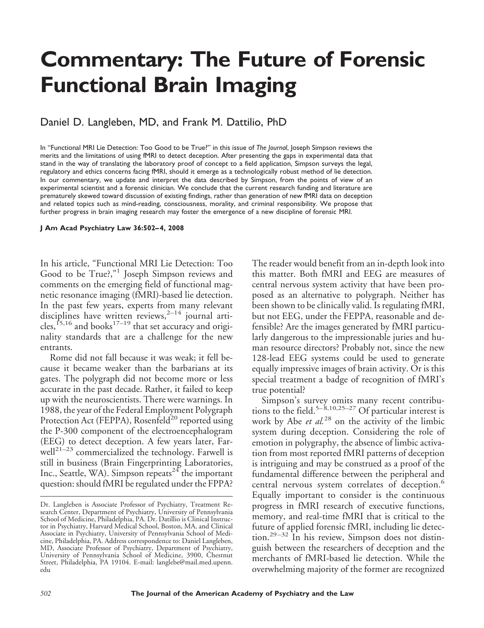## **Commentary: The Future of Forensic Functional Brain Imaging**

Daniel D. Langleben, MD, and Frank M. Dattilio, PhD

In "Functional MRI Lie Detection: Too Good to be True?" in this issue of *The Journal*, Joseph Simpson reviews the merits and the limitations of using fMRI to detect deception. After presenting the gaps in experimental data that stand in the way of translating the laboratory proof of concept to a field application, Simpson surveys the legal, regulatory and ethics concerns facing fMRI, should it emerge as a technologically robust method of lie detection. In our commentary, we update and interpret the data described by Simpson, from the points of view of an experimental scientist and a forensic clinician. We conclude that the current research funding and literature are prematurely skewed toward discussion of existing findings, rather than generation of new fMRI data on deception and related topics such as mind-reading, consciousness, morality, and criminal responsibility. We propose that further progress in brain imaging research may foster the emergence of a new discipline of forensic MRI.

## **J Am Acad Psychiatry Law 36:502– 4, 2008**

In his article, "Functional MRI Lie Detection: Too Good to be True?,"<sup>1</sup> Joseph Simpson reviews and comments on the emerging field of functional magnetic resonance imaging (fMRI)-based lie detection. In the past few years, experts from many relevant disciplines have written reviews, $2^{-14}$  journal articles,<sup>15,16</sup> and books<sup>17-19</sup> that set accuracy and originality standards that are a challenge for the new entrants.

Rome did not fall because it was weak; it fell because it became weaker than the barbarians at its gates. The polygraph did not become more or less accurate in the past decade. Rather, it failed to keep up with the neuroscientists. There were warnings. In 1988, the year of the Federal Employment Polygraph Protection Act (FEPPA), Rosenfeld<sup>20</sup> reported using the P-300 component of the electroencephalogram (EEG) to detect deception. A few years later, Farwell<sup>21-23</sup> commercialized the technology. Farwell is still in business (Brain Fingerprinting Laboratories, Inc., Seattle, WA). Simpson repeats<sup>24</sup> the important question: should fMRI be regulated under the FPPA?

The reader would benefit from an in-depth look into this matter. Both fMRI and EEG are measures of central nervous system activity that have been proposed as an alternative to polygraph. Neither has been shown to be clinically valid. Is regulating fMRI, but not EEG, under the FEPPA, reasonable and defensible? Are the images generated by fMRI particularly dangerous to the impressionable juries and human resource directors? Probably not, since the new 128-lead EEG systems could be used to generate equally impressive images of brain activity. Or is this special treatment a badge of recognition of fMRI's true potential?

Simpson's survey omits many recent contributions to the field.<sup>5–8,10,25–27</sup> Of particular interest is work by Abe *et al.*<sup>28</sup> on the activity of the limbic system during deception. Considering the role of emotion in polygraphy, the absence of limbic activation from most reported fMRI patterns of deception is intriguing and may be construed as a proof of the fundamental difference between the peripheral and central nervous system correlates of deception.<sup>6</sup> Equally important to consider is the continuous progress in fMRI research of executive functions, memory, and real-time fMRI that is critical to the future of applied forensic fMRI, including lie detection.<sup>29-32</sup> In his review, Simpson does not distinguish between the researchers of deception and the merchants of fMRI-based lie detection. While the overwhelming majority of the former are recognized

Dr. Langleben is Associate Professor of Psychiatry, Treatment Research Center, Department of Psychiatry, University of Pennsylvania School of Medicine, Philadelphia, PA. Dr. Datillio is Clinical Instructor in Psychiatry, Harvard Medical School, Boston, MA, and Clinical Associate in Psychiatry, University of Pennsylvania School of Medicine, Philadelphia, PA. Address correspondence to: Daniel Langleben, MD, Associate Professor of Psychiatry, Department of Psychiatry, University of Pennsylvania School of Medicine, 3900, Chestnut Street, Philadelphia, PA 19104. E-mail: langlebe@mail.med.upenn. edu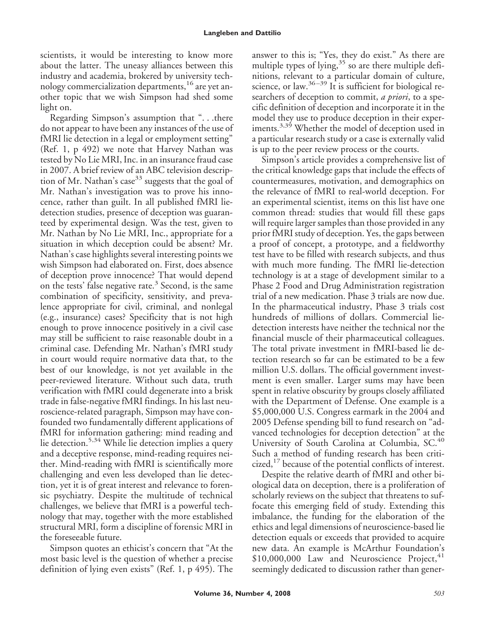scientists, it would be interesting to know more about the latter. The uneasy alliances between this industry and academia, brokered by university technology commercialization departments,<sup>16</sup> are yet another topic that we wish Simpson had shed some light on.

Regarding Simpson's assumption that ". . .there do not appear to have been any instances of the use of fMRI lie detection in a legal or employment setting" (Ref. 1, p 492) we note that Harvey Nathan was tested by No Lie MRI, Inc. in an insurance fraud case in 2007. A brief review of an ABC television description of Mr. Nathan's case<sup>33</sup> suggests that the goal of Mr. Nathan's investigation was to prove his innocence, rather than guilt. In all published fMRI liedetection studies, presence of deception was guaranteed by experimental design. Was the test, given to Mr. Nathan by No Lie MRI, Inc., appropriate for a situation in which deception could be absent? Mr. Nathan's case highlights several interesting points we wish Simpson had elaborated on. First, does absence of deception prove innocence? That would depend on the tests' false negative rate.<sup>3</sup> Second, is the same combination of specificity, sensitivity, and prevalence appropriate for civil, criminal, and nonlegal (e.g., insurance) cases? Specificity that is not high enough to prove innocence positively in a civil case may still be sufficient to raise reasonable doubt in a criminal case. Defending Mr. Nathan's fMRI study in court would require normative data that, to the best of our knowledge, is not yet available in the peer-reviewed literature. Without such data, truth verification with fMRI could degenerate into a brisk trade in false-negative fMRI findings. In his last neuroscience-related paragraph, Simpson may have confounded two fundamentally different applications of fMRI for information gathering: mind reading and lie detection.5,34 While lie detection implies a query and a deceptive response, mind-reading requires neither. Mind-reading with fMRI is scientifically more challenging and even less developed than lie detection, yet it is of great interest and relevance to forensic psychiatry. Despite the multitude of technical challenges, we believe that fMRI is a powerful technology that may, together with the more established structural MRI, form a discipline of forensic MRI in the foreseeable future.

Simpson quotes an ethicist's concern that "At the most basic level is the question of whether a precise definition of lying even exists" (Ref. 1, p 495). The

answer to this is; "Yes, they do exist." As there are multiple types of lying,  $35$  so are there multiple definitions, relevant to a particular domain of culture, science, or law. $36-39$  It is sufficient for biological researchers of deception to commit, *a priori*, to a specific definition of deception and incorporate it in the model they use to produce deception in their experiments.<sup>3,39</sup> Whether the model of deception used in a particular research study or a case is externally valid is up to the peer review process or the courts.

Simpson's article provides a comprehensive list of the critical knowledge gaps that include the effects of countermeasures, motivation, and demographics on the relevance of fMRI to real-world deception. For an experimental scientist, items on this list have one common thread: studies that would fill these gaps will require larger samples than those provided in any prior fMRI study of deception. Yes, the gaps between a proof of concept, a prototype, and a fieldworthy test have to be filled with research subjects, and thus with much more funding. The fMRI lie-detection technology is at a stage of development similar to a Phase 2 Food and Drug Administration registration trial of a new medication. Phase 3 trials are now due. In the pharmaceutical industry, Phase 3 trials cost hundreds of millions of dollars. Commercial liedetection interests have neither the technical nor the financial muscle of their pharmaceutical colleagues. The total private investment in fMRI-based lie detection research so far can be estimated to be a few million U.S. dollars. The official government investment is even smaller. Larger sums may have been spent in relative obscurity by groups closely affiliated with the Department of Defense. One example is a \$5,000,000 U.S. Congress earmark in the 2004 and 2005 Defense spending bill to fund research on "advanced technologies for deception detection" at the University of South Carolina at Columbia, SC.<sup>40</sup> Such a method of funding research has been criticized,<sup>17</sup> because of the potential conflicts of interest.

Despite the relative dearth of fMRI and other biological data on deception, there is a proliferation of scholarly reviews on the subject that threatens to suffocate this emerging field of study. Extending this imbalance, the funding for the elaboration of the ethics and legal dimensions of neuroscience-based lie detection equals or exceeds that provided to acquire new data. An example is McArthur Foundation's  $$10,000,000$  Law and Neuroscience Project, $41$ seemingly dedicated to discussion rather than gener